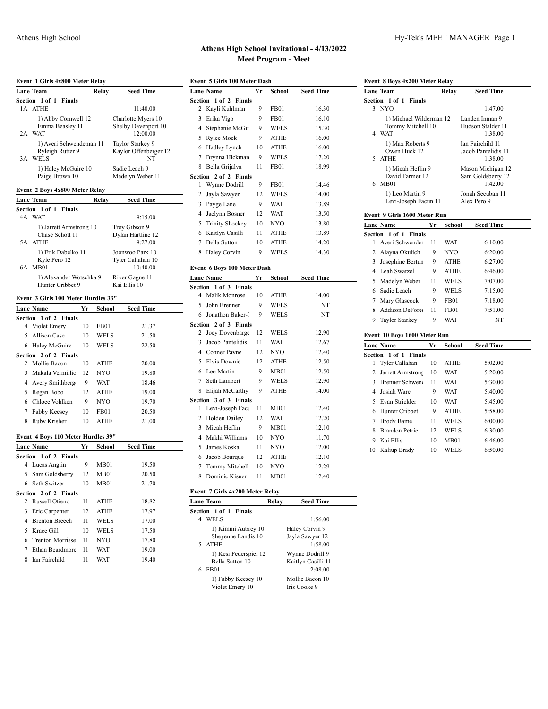**Event 1 Girls 4x800 Meter Relay**

## **Athens High School Invitational - 4/13/2022 Meet Program - Meet**

**Event 5 Girls 100 Meter Dash**

|                                 | <b>Lane Name</b>                      | Yr | School      | <b>Seed Time</b>                |  |  |  |
|---------------------------------|---------------------------------------|----|-------------|---------------------------------|--|--|--|
| 1 of 2 Finals<br>Section        |                                       |    |             |                                 |  |  |  |
| 2                               | Kayli Kuhlman                         | 9  | FB01        | 16.30                           |  |  |  |
| 3                               | Erika Vigo                            | 9  | FB01        | 16.10                           |  |  |  |
| 4                               | Stephanie McGu                        | 9  | <b>WELS</b> | 15.30                           |  |  |  |
| 5                               | <b>Rylee Mock</b>                     | 9  | <b>ATHE</b> | 16.00                           |  |  |  |
| 6                               | Hadley Lynch                          | 10 | <b>ATHE</b> | 16.00                           |  |  |  |
| 7                               | Brynna Hickman                        | 9  | <b>WELS</b> | 17.20                           |  |  |  |
| 8                               | Bella Grijalva                        | 11 | <b>FB01</b> | 18.99                           |  |  |  |
|                                 | Section 2 of 2 Finals                 |    |             |                                 |  |  |  |
| 1                               | Wynne Dodrill                         | 9  | FB01        | 14.46                           |  |  |  |
| 2                               | Jayla Sawyer                          | 12 | WELS        | 14.00                           |  |  |  |
| 3                               | Payge Lane                            | 9  | <b>WAT</b>  | 13.89                           |  |  |  |
| 4                               | Jaelynn Bosner                        | 12 | <b>WAT</b>  | 13.50                           |  |  |  |
| 5                               | <b>Trinity Shockey</b>                | 10 | NYO         | 13.80                           |  |  |  |
| 6                               | Kaitlyn Casilli                       | 11 | ATHE        | 13.89                           |  |  |  |
| 7                               | <b>Bella Sutton</b>                   | 10 | ATHE        | 14.20                           |  |  |  |
| 8                               | Haley Corvin                          | 9  | WELS        | 14.30                           |  |  |  |
|                                 | Event 6 Boys 100 Meter Dash           |    |             |                                 |  |  |  |
|                                 | <b>Lane Name</b>                      | Yr | School      | <b>Seed Time</b>                |  |  |  |
|                                 | Section 1 of 3 Finals                 |    |             |                                 |  |  |  |
| 4                               | Malik Monrose                         | 10 | ATHE        | 14.00                           |  |  |  |
| 5                               | John Brenner                          | 9  | WELS        | NT                              |  |  |  |
| 6                               | Jonathon Baker-1                      | 9  | WELS        | NT                              |  |  |  |
| Section                         | 2 of 3 Finals                         |    |             |                                 |  |  |  |
| 2                               | Joey Dovenbarge                       | 12 | WELS        | 12.90                           |  |  |  |
| 3                               | Jacob Pantelidis                      | 11 | <b>WAT</b>  | 12.67                           |  |  |  |
|                                 | 4 Conner Payne                        | 12 | NYO         | 12.40                           |  |  |  |
| 5                               | <b>Elvis Downie</b>                   | 12 | <b>ATHE</b> | 12.50                           |  |  |  |
| 6                               | Leo Martin                            | 9  | MB01        | 12.50                           |  |  |  |
| 7                               | Seth Lambert                          | 9  | WELS        | 12.90                           |  |  |  |
| 8                               | Elijah McCarthy                       | 9  | ATHE        | 14.00                           |  |  |  |
|                                 | Section 3 of 3 Finals                 |    |             |                                 |  |  |  |
| 1                               | Levi-Joseph Fact                      | 11 | MB01        | 12.40                           |  |  |  |
| 2                               | <b>Holden Dailey</b>                  | 12 | <b>WAT</b>  | 12.20                           |  |  |  |
| 3                               | Micah Heflin                          | 9  | MB01        | 12.10                           |  |  |  |
| 4                               | Makhi Williams                        | 10 | NYO         | 11.70                           |  |  |  |
| 5                               | James Koska                           | 11 | NYO         | 12.00                           |  |  |  |
| 6                               | Jacob Bourque                         | 12 | <b>ATHE</b> | 12.10                           |  |  |  |
| 7                               | Tommy Mitchell                        | 10 | NYO         | 12.29                           |  |  |  |
| 8                               | Dominic Kisner                        | 11 | MB01        | 12.40                           |  |  |  |
|                                 |                                       |    |             |                                 |  |  |  |
| Event 7 Girls 4x200 Meter Relay |                                       |    |             |                                 |  |  |  |
|                                 | Lane Team                             |    | Relay       | Seed Time                       |  |  |  |
| Section<br>4                    | 1 of 1<br>Finals<br><b>WELS</b>       |    |             | 1:56.00                         |  |  |  |
|                                 | 1) Kimmi Aubrey 10                    |    |             | Haley Corvin 9                  |  |  |  |
|                                 | Sheyenne Landis 10                    |    |             | Jayla Sawyer 12                 |  |  |  |
| 5                               | <b>ATHE</b>                           |    |             | 1:58.00                         |  |  |  |
|                                 | 1) Kesi Federspiel 12                 |    |             | Wynne Dodrill 9                 |  |  |  |
|                                 | Bella Sutton 10                       |    |             | Kaitlyn Casilli 11              |  |  |  |
| 6                               | <b>FB01</b>                           |    |             | 2:08.00                         |  |  |  |
|                                 | 1) Fabby Keesey 10<br>Violet Emery 10 |    |             | Mollie Bacon 10<br>Iris Cooke 9 |  |  |  |
|                                 |                                       |    |             |                                 |  |  |  |

| Event 8 Boys 4x200 Meter Relay     |                                         |    |             |                                 |  |  |  |  |
|------------------------------------|-----------------------------------------|----|-------------|---------------------------------|--|--|--|--|
|                                    | Lane Team                               |    | Relav       | <b>Seed Time</b>                |  |  |  |  |
| 1 of 1<br>Section<br><b>Finals</b> |                                         |    |             |                                 |  |  |  |  |
| 3                                  | <b>NYO</b>                              |    |             | 1:47.00                         |  |  |  |  |
|                                    | 1) Michael Wilderman 12                 |    |             | Landen Inman 9                  |  |  |  |  |
| 4                                  | Tommy Mitchell 10<br><b>WAT</b>         |    |             | Hudson Stalder 11<br>1:38.00    |  |  |  |  |
|                                    | 1) Max Roberts 9                        |    |             | Ian Fairchild 11                |  |  |  |  |
|                                    | Owen Huck 12                            |    |             | Jacob Pantelidis 11             |  |  |  |  |
| 5                                  | <b>ATHE</b>                             |    |             | 1:38.00                         |  |  |  |  |
|                                    | 1) Micah Heflin 9                       |    |             | Mason Michigan 12               |  |  |  |  |
|                                    | David Farmer 12                         |    |             | Sam Goldsberry 12               |  |  |  |  |
| 6                                  | MB <sub>01</sub>                        |    |             | 1:42.00                         |  |  |  |  |
|                                    | 1) Leo Martin 9<br>Levi-Joseph Facun 11 |    |             | Jonah Secuban 11<br>Alex Pero 9 |  |  |  |  |
|                                    |                                         |    |             |                                 |  |  |  |  |
|                                    | Event 9 Girls 1600 Meter Run            |    |             |                                 |  |  |  |  |
|                                    | <b>Lane Name</b>                        | Yr | School      | <b>Seed Time</b>                |  |  |  |  |
| Section                            | 1 of 1<br><b>Finals</b>                 |    |             |                                 |  |  |  |  |
| 1                                  | Averi Schwender                         | 11 | <b>WAT</b>  | 6:10.00                         |  |  |  |  |
| 2                                  | Alayna Okulich                          | 9  | <b>NYO</b>  | 6:20.00                         |  |  |  |  |
| 3                                  | Josephine Bertun                        | 9  | ATHE        | 6:27.00                         |  |  |  |  |
| 4                                  | Leah Swatzel                            | 9  | <b>ATHE</b> | 6:46.00                         |  |  |  |  |
| 5                                  | Madelyn Weber                           | 11 | <b>WELS</b> | 7:07.00                         |  |  |  |  |
| 6                                  | Sadie Leach                             | 9  | WELS        | 7:15.00                         |  |  |  |  |
| 7                                  | Mary Glascock                           | 9  | <b>FB01</b> | 7:18.00                         |  |  |  |  |
| 8                                  | <b>Addison DeFores</b>                  | 11 | <b>FB01</b> | 7:51.00                         |  |  |  |  |
| 9                                  | <b>Taylor Starkey</b>                   | 9  | WAT         | NT                              |  |  |  |  |
|                                    | Event 10 Boys 1600 Meter Run            |    |             |                                 |  |  |  |  |
|                                    | <b>Lane Name</b>                        | Yr | School      | <b>Seed Time</b>                |  |  |  |  |
| Section                            | 1 of 1<br><b>Finals</b>                 |    |             |                                 |  |  |  |  |
| 1                                  | Tyler Callahan                          | 10 | ATHE        | 5:02.00                         |  |  |  |  |
| 2                                  | Jarrett Armstrong                       | 10 | WAT         | 5:20.00                         |  |  |  |  |
| 3                                  | <b>Brenner Schwend</b>                  | 11 | WAT         | 5:30.00                         |  |  |  |  |
| $\overline{4}$                     | Josiah Ware                             | 9  | <b>WAT</b>  | 5:40.00                         |  |  |  |  |
| 5                                  | Evan Strickler                          | 10 | <b>WAT</b>  | 5:45.00                         |  |  |  |  |
| 6                                  | Hunter Cribbet                          | 9  | <b>ATHE</b> | 5:58.00                         |  |  |  |  |
| 7                                  | <b>Brody Bame</b>                       | 11 | WELS        | 6:00.00                         |  |  |  |  |
| 8                                  | <b>Brandon Petrie</b>                   | 12 | WELS        | 6:30.00                         |  |  |  |  |
| 9                                  | Kai Ellis                               | 10 | <b>MB01</b> | 6:46.00                         |  |  |  |  |
| 10                                 | Kaliup Brady                            | 10 | WELS        | 6:50.00                         |  |  |  |  |
|                                    |                                         |    |             |                                 |  |  |  |  |
|                                    |                                         |    |             |                                 |  |  |  |  |
|                                    |                                         |    |             |                                 |  |  |  |  |

#### **Lane Team Relay Seed Time Section 1 of 1 Finals** 1A ATHE 11:40.00 1) Abby Cornwell 12 Charlotte Myers 10 Emma Beasley 11 Shelby Davenport 10 2A WAT 12:00.00 1) Averi Schwendeman 11 Taylor Starkey 9 Ryleigh Rutter 9 Kaylor Offenberger 12 3A WELS NT 1) Haley McGuire 10 Sadie Leach 9 Paige Brown 10 Madelyn Weber 11 **Event 2 Boys 4x800 Meter Relay Lane Team Relay Seed Time Section 1 of 1 Finals** 4A WAT 9:15.00 1) Jarrett Armstrong 10 Troy Gibson 9 Chase Schott 11 Dylan Hartline 12 5A ATHE 9:27.00 1) Erik Dabelko 11 Joonwoo Park 10<br>Kyle Pero 12 Tyler Callahan 10 Tyler Callahan  $10$ <br> $10:40.00$ 6A MB01 1) Alexander Wotschka 9 River Gagne 11 Hunter Cribbet 9 Kai Ellis 10 **Event 3 Girls 100 Meter Hurdles 33" Lane Name Yr School Seed Time Section 1 of 2 Finals** 4 Violet Emery 10 FB01 21.37 5 Allison Case 10 WELS 21.50 6 Haley McGuire 10 WELS 22.50 **Section 2 of 2 Finals** 2 Mollie Bacon 10 ATHE 20.00 3 Makala Vermillic 12 NYO 19.80 4 Avery Smithberg 9 WAT 18.46 5 Regan Bobo 12 ATHE 19.00 6 Chloee Vohlken 9 NYO 19.70 7 Fabby Keesey 10 FB01 20.50 8 Ruby Krisher 10 ATHE 21.00 **Event 4 Boys 110 Meter Hurdles 39" Lane Name Yr School Seed Time Section 1 of 2 Finals** 4 Lucas Anglin 9 MB01 19.50 5 Sam Goldsberry 12 MB01 20.50 6 Seth Switzer 10 MB01 21.70 **Section 2 of 2 Finals** 2 Russell Otieno 11 ATHE 18.82 3 Eric Carpenter 12 ATHE 17.97 4 Brenton Breech 11 WELS 17.00 5 Krace Gill 10 WELS 17.50 6 Trenton Morrisse 11 NYO 17.80 7 Ethan Beardmore 11 WAT 19.00 8 Ian Fairchild 11 WAT 19.40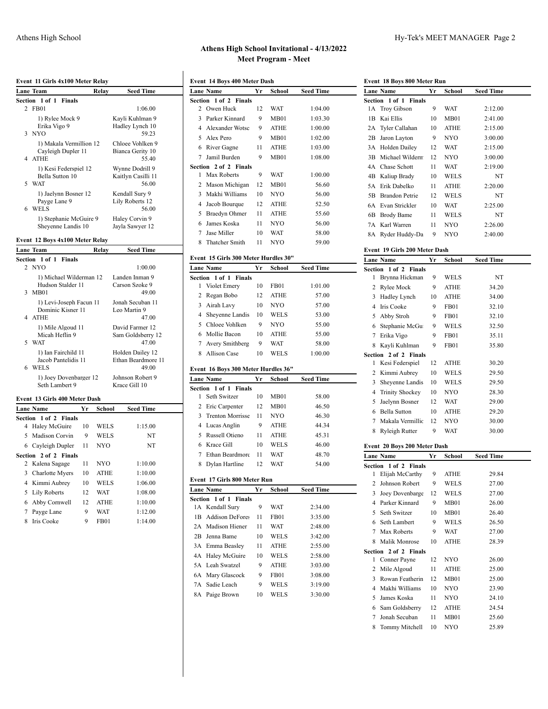**Section 1 of 1 Finals**

4 ATHE

**Event 11 Girls 4x100 Meter Relay**

**Event 12 Boys 4x100 Meter Relay**

**Section 1 of 1 Finals**

4 ATHE

5 WAT

Seth Lambert 9 **Event 13 Girls 400 Meter Dash**

**Section 1 of 2 Finals**

**Section 2 of 2 Finals**

**Lane Team Relay Seed Time**

1) Rylee Mock 9 Kayli Kuhlman 9<br>Erika Vigo 9 Hadley Lynch 10

1) Kesi Federspiel 12 Wynne Dodrill 9<br>Bella Sutton 10 Kaitlyn Casilli 11

5 WAT 56.00 1) Jaelynn Bosner 12 Kendall Sury 9<br>Payge Lane 9 Lily Roberts 12

6 WELS 56.00 1) Stephanie McGuire 9 Haley Corvin 9 Sheyenne Landis 10 Jayla Sawyer 12

**Lane Team Relay Seed Time**

2 NYO 1:00.00 1) Michael Wilderman 12 Landen Inman 9 Hudson Stalder 11 Carson Szoke 9 3 MB01 49.00 1) Levi-Joseph Facun 11 Jonah Secuban 11<br>Dominic Kisner 11 Leo Martin 9 Dominic Kisner 11 Leo Martin 9<br>THE 47.00

1) Mile Algoud 11 David Farmer 12 Micah Heflin 9 Sam Goldsberry 12<br>
47.00

1) Ian Fairchild 11 Holden Dailey 12 Jacob Pantelidis 11 Ethan Beardmore 11 6 WELS 49.00 1) Joey Dovenbarger 12 Johnson Robert 9<br>Seth Lambert 9<br>Krace Gill 10

**Lane Name Yr School Seed Time**

4 Haley McGuire 10 WELS 1:15.00 5 Madison Corvin 9 WELS NT 6 Cayleigh Dupler 11 NYO NT

 Kalena Sagage 11 NYO 1:10.00 Charlotte Myers 10 ATHE 1:10.00 Kimmi Aubrey 10 WELS 1:06.00 Lily Roberts 12 WAT 1:08.00 Abby Cornwell 12 ATHE 1:10.00 Payge Lane 9 WAT 1:12.00 8 Iris Cooke 9 FB01 1:14.00

3 NYO 59.23 1) Makala Vermillion 12 Chloee Vohlken 9 Cayleigh Dupler 11 Bianca Gerity 10<br>THE 55.40

 $1:06.00$ 

 $\overline{\phantom{a}}$ 

Hadley Lynch 10

Kaitlyn Casilli 11

Lily Roberts 12

## **Athens High School Invitational - 4/13/2022 Meet Program - Meet**

|         | <b>Lane Name</b>                          | Yr | School      | <b>Seed Time</b> |
|---------|-------------------------------------------|----|-------------|------------------|
|         | Section 1 of 2 Finals                     |    |             |                  |
| 2       | Owen Huck                                 | 12 | WAT         | 1:04.00          |
| 3       | Parker Kinnard                            | 9  | MB01        | 1:03.30          |
|         | 4 Alexander Wotsc                         | 9  | ATHE        | 1:00.00          |
|         | 5 Alex Pero                               | 9  | MB01        | 1:02.00          |
|         |                                           | 11 | ATHE        | 1:03.00          |
|         | 6 River Gagne                             |    |             |                  |
|         | 7 Jamil Burden                            | 9  | MB01        | 1:08.00          |
|         | Section 2 of 2 Finals<br>Max Roberts      |    |             |                  |
| 1       |                                           | 9  | WAT         | 1:00.00          |
|         | 2 Mason Michigan                          | 12 | MB01        | 56.60            |
| 3       | Makhi Williams                            | 10 | <b>NYO</b>  | 56.00            |
|         | 4 Jacob Bourque                           | 12 | <b>ATHE</b> | 52.50            |
|         | 5 Braedyn Ohmer                           | 11 | ATHE        | 55.60            |
|         | 6 James Koska                             | 11 | NYO.        | 56.00            |
| 7       | Jase Miller                               | 10 | WAT         | 58.00            |
| 8       | Thatcher Smith                            | 11 | NYO         | 59.00            |
|         | Event 15 Girls 300 Meter Hurdles 30"      |    |             |                  |
|         | <b>Lane Name</b>                          | Yr | School      | <b>Seed Time</b> |
|         | Section 1 of 1 Finals                     |    |             |                  |
|         | 1 Violet Emery                            | 10 | FB01        | 1:01.00          |
| 2       | Regan Bobo                                | 12 | <b>ATHE</b> | 57.00            |
|         | 3 Airah Lavy                              | 10 | NYO.        | 57.00            |
|         | 4 Shevenne Landis                         | 10 | WELS        | 53.00            |
|         | 5 Chloee Vohlken                          | 9  | NYO.        | 55.00            |
|         | 6 Mollie Bacon                            | 10 | <b>ATHE</b> | 55.00            |
|         | 7 Avery Smithberg                         | 9  | WAT         | 58.00            |
|         | 8 Allison Case                            | 10 | WELS        | 1:00.00          |
|         |                                           |    |             |                  |
|         | Event 16 Boys 300 Meter Hurdles 36"       |    |             |                  |
|         | <b>Lane Name</b>                          | Yr | School      | <b>Seed Time</b> |
|         | Section 1 of 1 Finals                     |    |             |                  |
| 1       | Seth Switzer                              | 10 | MB01        | 58.00            |
|         | 2 Eric Carpenter                          | 12 | MB01        | 46.50            |
|         | 3 Trenton Morrisse                        | 11 | NYO         | 46.30            |
|         | 4 Lucas Anglin                            | 9  | ATHE        | 44.34            |
|         | 5 Russell Otieno                          | 11 | <b>ATHE</b> | 45.31            |
|         | 6 Krace Gill                              | 10 | WELS        | 46.00            |
|         | 7 Ethan Beardmore                         | 11 | <b>WAT</b>  | 48.70            |
|         |                                           |    |             |                  |
| 8       | Dylan Hartline                            | 12 | WAT         | 54.00            |
|         |                                           |    |             |                  |
|         | Event 17 Girls 800 Meter Run<br>Lane Name | Yr | School      | <b>Seed Time</b> |
|         | 1 of 1<br>Finals                          |    |             |                  |
| 1 A     | Kendall Sury                              | 9  | WAT         | 2:34.00          |
| 1B      | <b>Addison DeFores</b>                    | 11 | FB01        | 3:35.00          |
|         | 2A Madison Hiener                         | 11 | WAT         | 2:48.00          |
|         | 2B Jenna Bame                             | 10 |             | 3:42.00          |
|         |                                           |    | WELS        |                  |
|         | 3A Emma Beasley                           | 11 | ATHE        | 2:55.00          |
|         | 4A Haley McGuire                          | 10 | WELS        | 2:58.00          |
|         | 5A Leah Swatzel                           | 9  | ATHE        | 3:03.00          |
| Section | 6A Mary Glascock                          | 9  | FB01        | 3:08.00          |
| 7A      | Sadie Leach                               | 9  | WELS        | 3:19.00          |
| 8A      | Paige Brown                               | 10 | WELS        | 3:30.00          |

| <b>Lane Name</b>                                           | Yr | School       | <b>Seed Time</b> |
|------------------------------------------------------------|----|--------------|------------------|
| <b>Section</b><br>1 of 1<br><b>Finals</b>                  |    |              |                  |
| 1A<br><b>Troy Gibson</b>                                   | 9  | WAT          | 2:12.00          |
| Kai Ellis<br>1B                                            | 10 | MB01         | 2:41.00          |
| 2A Tyler Callahan                                          | 10 | ATHE         | 2:15.00          |
| 2В<br>Jaron Layton                                         | 9  | <b>NYO</b>   | 3:00.00          |
| 3A Holden Dailey                                           | 12 | WAT          | 2:15.00          |
| 3B<br>Michael Wildern                                      | 12 | NYO          | 3:00.00          |
| 4A<br>Chase Schott                                         | 11 | <b>WAT</b>   | 2:19.00          |
| 4B Kaliup Brady                                            | 10 | WELS         | NT               |
| 5A Erik Dabelko                                            | 11 | ATHE         | 2:20.00          |
| 5B<br><b>Brandon Petrie</b>                                | 12 | WELS         | NT               |
| 6A Evan Strickler                                          | 10 | WAT          | 2:25.00          |
| 6B Brody Bame                                              | 11 | WELS         | NT               |
| 7A Karl Warren                                             | 11 | NYO          | 2:26.00          |
| 8A Ryder Huddy-Da                                          | 9  | NYO          | 2:40.00          |
|                                                            |    |              |                  |
| Event 19 Girls 200 Meter Dash                              |    |              |                  |
| <b>Lane Name</b>                                           | Yr | School       | <b>Seed Time</b> |
| 1 of 2<br><b>Finals</b><br>Section                         |    |              |                  |
| Brynna Hickman<br>1                                        | 9  | WELS         | NT               |
| 2<br><b>Rylee Mock</b>                                     | 9  | ATHE         | 34.20            |
| 3<br>Hadley Lynch                                          | 10 | ATHE         | 34.00            |
| Iris Cooke<br>4                                            | 9  | FB01         | 32.10            |
| Abby Stroh<br>5                                            | 9  | FB01         | 32.10            |
| Stephanie McGu<br>6                                        | 9  | WELS         | 32.50            |
| 7<br>Erika Vigo                                            | 9  | <b>FB01</b>  | 35.11            |
| Kayli Kuhlman<br>8                                         | 9  | FB01         | 35.80            |
| Section<br>2 of 2 Finals                                   |    |              |                  |
| Kesi Federspiel<br>1                                       | 12 | ATHE         | 30.20            |
| 2<br>Kimmi Aubrey                                          | 10 | WELS         | 29.50            |
| 3<br>Sheyenne Landis                                       | 10 | WELS         | 29.50            |
| 4<br><b>Trinity Shockey</b>                                | 10 | NYO          | 28.30            |
| Jaelynn Bosner<br>5                                        | 12 | WAT          | 29.00            |
| <b>Bella Sutton</b><br>6                                   | 10 | ATHE         | 29.20            |
| 7<br>Makala Vermillic                                      | 12 | NYO          | 30.00            |
| 8<br>Ryleigh Rutter                                        | 9  | WAT          | 30.00            |
|                                                            |    |              |                  |
| Event 20 Boys 200 Meter Dash                               |    |              |                  |
| <b>Lane Name</b>                                           | Yr | School       | <b>Seed Time</b> |
| 1 of 2<br>Section<br><b>Finals</b><br>Elijah McCarthy<br>1 | 9  | ATHE         | 29.84            |
| Johnson Robert<br>2                                        | 9  | WELS         | 27.00            |
| 3<br>Joey Dovenbarge                                       | 12 | WELS         | 27.00            |
| Parker Kinnard<br>4                                        | 9  | MB01         | 26.00            |
| Seth Switzer<br>5                                          | 10 | MB01         | 26.40            |
| Seth Lambert<br>6                                          | 9  |              |                  |
| Max Roberts                                                |    | WELS         | 26.50            |
| 7                                                          | 9  | WAT          | 27.00            |
| Malik Monrose<br>8                                         | 10 | ATHE         | 28.39            |
| 2 of 2 Finals<br>Section<br>Conner Payne<br>1              | 12 | NYO          | 26.00            |
| Mile Algoud<br>2                                           | 11 |              |                  |
| Rowan Featherin                                            |    | ATHE<br>MB01 | 25.00            |
| 3<br>4 Makhi Williams                                      | 12 |              | 25.00            |
|                                                            | 10 | NYO          | 23.90            |
| James Koska<br>5                                           | 11 | NYO          | 24.10            |
| Sam Goldsberry<br>6                                        | 12 | ATHE         | 24.54            |

7 Jonah Secuban 11 MB01 25.60 8 Tommy Mitchell 10 NYO 25.89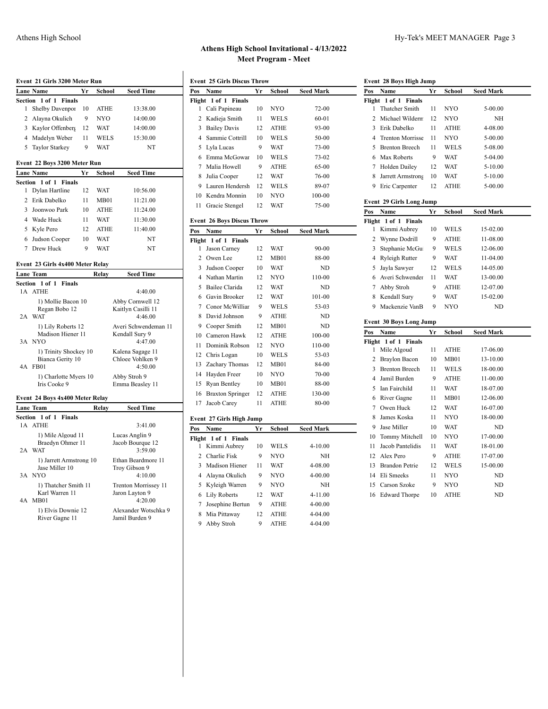## **Athens High School Invitational - 4/13/2022 Meet Program - Meet**

| <b>Event 25 Girls Discus Throw</b> |                                           |    |             |                  |  |  |
|------------------------------------|-------------------------------------------|----|-------------|------------------|--|--|
| Pos                                | Name                                      | Yr | School      | <b>Seed Mark</b> |  |  |
| Flight                             | 1 of 1<br><b>Finals</b>                   |    |             |                  |  |  |
| 1                                  | Cali Papineau                             | 10 | NYO         | 72-00            |  |  |
| 2                                  | Kadieja Smith                             | 11 | WELS        | 60-01            |  |  |
| 3                                  | <b>Bailey Davis</b>                       | 12 | <b>ATHE</b> | 93-00            |  |  |
| 4                                  | Sammie Cottrill                           | 10 | <b>WELS</b> | 50-00            |  |  |
| 5                                  | Lyla Lucas                                | 9  | <b>WAT</b>  | 73-00            |  |  |
| 6                                  | Emma McGowar                              | 10 | <b>WELS</b> | 73-02            |  |  |
| 7                                  | Malia Howell                              | 9  | <b>ATHE</b> | 65-00            |  |  |
| 8                                  | Julia Cooper                              | 12 | WAT         | 76-00            |  |  |
| 9                                  | Lauren Hendersh                           | 12 | WELS        | 89-07            |  |  |
| 10                                 | Kendra Monnin                             | 10 | NYO         | 100-00           |  |  |
| 11                                 | Gracie Stengel                            | 12 | <b>WAT</b>  | 75-00            |  |  |
|                                    |                                           |    |             |                  |  |  |
| Pos                                | <b>Event 26 Boys Discus Throw</b><br>Name | Yr |             | <b>Seed Mark</b> |  |  |
| Flight                             | 1 of 1<br><b>Finals</b>                   |    | School      |                  |  |  |
| 1                                  | Jason Carney                              | 12 | <b>WAT</b>  | 90-00            |  |  |
| $\overline{c}$                     | Owen Lee                                  | 12 | <b>MB01</b> | 88-00            |  |  |
| 3                                  | Judson Cooper                             | 10 | <b>WAT</b>  | ND               |  |  |
| 4                                  | Nathan Martin                             | 12 | <b>NYO</b>  | 110-00           |  |  |
| 5                                  | <b>Bailee Clarida</b>                     | 12 | <b>WAT</b>  | N <sub>D</sub>   |  |  |
| 6                                  | Gavin Brooker                             | 12 | <b>WAT</b>  | 101-00           |  |  |
| $\overline{7}$                     | Conor McWilliar                           | 9  | <b>WELS</b> | 53-03            |  |  |
| 8                                  | David Johnson                             | 9  | ATHE        | ND               |  |  |
| 9                                  | Cooper Smith                              | 12 | <b>MB01</b> | ND               |  |  |
| 10                                 | Cameron Hawk                              | 12 | <b>ATHE</b> | 100-00           |  |  |
| 11                                 | Dominik Robson                            | 12 | NYO         | 110-00           |  |  |
| 12                                 | Chris Logan                               | 10 | WELS        | 53-03            |  |  |
| 13                                 |                                           | 12 | MB01        | 84-00            |  |  |
| 14                                 | Zachary Thomas<br>Hayden Freer            | 10 | NYO         | 70-00            |  |  |
| 15                                 | <b>Ryan Bentley</b>                       | 10 | <b>MB01</b> | 88-00            |  |  |
| 16                                 | <b>Braxton Springer</b>                   | 12 | <b>ATHE</b> | 130-00           |  |  |
| 17                                 | Jacob Carey                               | 11 | <b>ATHE</b> | 80-00            |  |  |
|                                    |                                           |    |             |                  |  |  |
|                                    | Event 27 Girls High Jump                  |    |             |                  |  |  |
| Pos                                | Name                                      | Yr | School      | <b>Seed Mark</b> |  |  |
| Flight                             | <b>Finals</b><br>1 of 1                   |    |             |                  |  |  |
| 1                                  | Kimmi Aubrey                              | 10 | WELS        | 4-10.00          |  |  |
| $\overline{c}$                     | Charlie Fisk                              | 9  | <b>NYO</b>  | NH               |  |  |
| 3                                  | Madison Hiener                            | 11 | <b>WAT</b>  | 4-08.00          |  |  |
| 4                                  | Alayna Okulich                            | 9  | <b>NYO</b>  | 4-00.00          |  |  |
| 5                                  | Kyleigh Warren                            | 9  | <b>NYO</b>  | NH               |  |  |
| 6                                  | <b>Lily Roberts</b>                       | 12 | WAT         | 4-11.00          |  |  |
| 7                                  | Josephine Bertun                          | 9  | <b>ATHE</b> | 4-00.00          |  |  |
| 8                                  | Mia Pittaway                              | 12 | <b>ATHE</b> | 4-04.00          |  |  |
| 9                                  | Abby Stroh                                | 9  | <b>ATHE</b> | 4-04.00          |  |  |

|                | <b>Event 28 Boys High Jump</b>  |    |             |                  |
|----------------|---------------------------------|----|-------------|------------------|
| Pos            | Name                            | Yr | School      | <b>Seed Mark</b> |
| Flight         | <b>Finals</b><br>$1$ of $1$     |    |             |                  |
| 1              | <b>Thatcher Smith</b>           | 11 | <b>NYO</b>  | 5-00.00          |
| 2              | Michael Wildern                 | 12 | NYO         | NΗ               |
| 3              | Erik Dabelko                    | 11 | ATHE        | 4-08.00          |
| 4              | <b>Trenton Morrisse</b>         | 11 | <b>NYO</b>  | 5-00.00          |
| 5              | <b>Brenton Breech</b>           | 11 | <b>WELS</b> | 5-08.00          |
| 6              | Max Roberts                     | 9  | <b>WAT</b>  | 5-04.00          |
| 7              | <b>Holden Dailey</b>            | 12 | <b>WAT</b>  | 5-10.00          |
| 8              | Jarrett Armstrong               | 10 | <b>WAT</b>  | $5 - 10.00$      |
| 9              | Eric Carpenter                  | 12 | ATHE        | 5-00.00          |
|                | <b>Event 29 Girls Long Jump</b> |    |             |                  |
| Pos            | Name                            | Yr | School      | <b>Seed Mark</b> |
| Flight         | $1$ of $1$<br><b>Finals</b>     |    |             |                  |
| 1              | Kimmi Aubrey                    | 10 | WELS        | 15-02.00         |
| $\overline{2}$ | Wynne Dodrill                   | 9  | <b>ATHE</b> | 11-08.00         |
| 3              | Stephanie McGu                  | 9  | WELS        | 12-06.00         |
| 4              | <b>Ryleigh Rutter</b>           | 9  | <b>WAT</b>  | 11-04.00         |
| 5              | Jayla Sawyer                    | 12 | WELS        | 14-05.00         |
| 6              | Averi Schwender                 | 11 | <b>WAT</b>  | 13-00.00         |
| 7              | Abby Stroh                      | 9  | <b>ATHE</b> | 12-07.00         |
| 8              | Kendall Sury                    | 9  | <b>WAT</b>  | 15-02.00         |
| 9              | Mackenzie VanB                  | 9  | <b>NYO</b>  | ND               |
|                | <b>Event 30 Boys Long Jump</b>  |    |             |                  |
| Pos            | Name                            | Yr | School      | <b>Seed Mark</b> |
| Flight         | 1 of 1<br><b>Finals</b>         |    |             |                  |
| 1              | Mile Algoud                     | 11 | ATHE        | 17-06.00         |
| 2              | <b>Braylon Bacon</b>            | 10 | MB01        | 13-10.00         |
| 3              | <b>Brenton Breech</b>           | 11 | <b>WELS</b> | 18-00.00         |
| $\overline{4}$ | Jamil Burden                    | 9  | <b>ATHE</b> | 11-00.00         |
| 5              | Ian Fairchild                   | 11 | <b>WAT</b>  | 18-07.00         |
| 6              | River Gagne                     | 11 | <b>MB01</b> | 12-06.00         |
| 7              | Owen Huck                       | 12 | WAT         | 16-07.00         |
| 8              | James Koska                     | 11 | <b>NYO</b>  | 18-00.00         |
| 9              | Jase Miller                     | 10 | <b>WAT</b>  | ND               |
| 10             | Tommy Mitchell                  | 10 | <b>NYO</b>  | 17-00.00         |
| 11             | Jacob Pantelidis                | 11 | <b>WAT</b>  | 18-01.00         |
| 12             | Alex Pero                       | 9  | ATHE        | 17-07.00         |
| 13             | <b>Brandon Petrie</b>           | 12 | <b>WELS</b> | 15-00.00         |
| 14             | Eli Smeeks                      | 11 | NYO         | ND               |
| 15             | Carson Szoke                    | 9  | NYO.        | ND               |
| 16             | <b>Edward Thorpe</b>            | 10 | ATHE        | ND               |
|                |                                 |    |             |                  |

#### **Event 21 Girls 3200 Meter Run Lane Name Yr School Seed Time Section 1 of 1 Finals** 1 Shelby Davenport 10 ATHE 13:38.00 2 Alayna Okulich 9 NYO 14:00.00 3 Kaylor Offenberg 12 WAT 14:00.00 4 Madelyn Weber 11 WELS 15:30.00 5 Taylor Starkey 9 WAT NT **Event 22 Boys 3200 Meter Run Lane Name Yr School Seed Time Section 1 of 1 Finals** 1 Dylan Hartline 12 WAT 10:56.00 2 Erik Dabelko 11 MB01 11:21.00 3 Joonwoo Park 10 ATHE 11:24.00 4 Wade Huck 11 WAT 11:30.00 5 Kyle Pero 12 ATHE 11:40.00 6 Judson Cooper 10 WAT NT 7 Drew Huck 9 WAT NT **Event 23 Girls 4x400 Meter Relay Lane Team Relay Seed Time Section 1 of 1 Finals** 1A ATHE 4:40.00 1) Mollie Bacon 10 Abby Cornwell 12 Regan Bobo 12 Kaitlyn Casilli 11<br>
4:46.00 2A WAT 1) Lily Roberts 12 Averi Schwendeman 11<br>Madison Hiener 11 Kendall Sury 9 Madison Hiener 11 Kendall Sury 9<br>YO 4:47.00 3A NYO 1) Trinity Shockey 10 Kalena Sagage 11<br>Bianca Gerity 10 Chloee Vohlken 9 Chloee Vohlken 9<br> $4:50.00$ 4A FB01 1) Charlotte Myers 10 Abby Stroh 9 Iris Cooke 9 Emma Beasley 11 **Event 24 Boys 4x400 Meter Relay Lane Team Relay Seed Time Section 1 of 1 Finals** 1A ATHE 3:41.00 1) Mile Algoud 11 Lucas Anglin 9<br>Braedyn Ohmer 11 Jacob Bourque 12 Braedyn Ohmer 11 2A WAT 3:59.00 1) Jarrett Armstrong 10 Ethan Beardmore 11<br>Jase Miller 10 Troy Gibson 9 Jase Miller 10 Troy Gibson 9<br>YO 4:10.00 3A NYO 1) Thatcher Smith 11 Trenton Morrissey 11 Karl Warren 11 Jaron Layton 9<br>
B01 4:20.00 4A MB01 1) Elvis Downie 12 Alexander Wotschka 9<br>
River Gagne 11 Jamil Burden 9 River Gagne 11